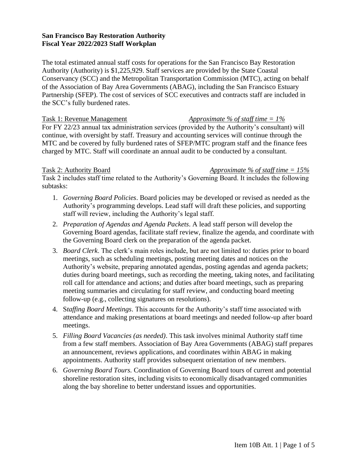### **San Francisco Bay Restoration Authority Fiscal Year 2022/2023 Staff Workplan**

The total estimated annual staff costs for operations for the San Francisco Bay Restoration Authority (Authority) is \$1,225,929. Staff services are provided by the State Coastal Conservancy (SCC) and the Metropolitan Transportation Commission (MTC), acting on behalf of the Association of Bay Area Governments (ABAG), including the San Francisco Estuary Partnership (SFEP). The cost of services of SCC executives and contracts staff are included in the SCC's fully burdened rates.

# Task 1: Revenue Management *Approximate % of staff time = 1%*

For FY 22/23 annual tax administration services (provided by the Authority's consultant) will continue, with oversight by staff. Treasury and accounting services will continue through the MTC and be covered by fully burdened rates of SFEP/MTC program staff and the finance fees charged by MTC. Staff will coordinate an annual audit to be conducted by a consultant.

Task 2: Authority Board *Approximate % of staff time = 15%*

Task 2 includes staff time related to the Authority's Governing Board. It includes the following subtasks:

- 1. *Governing Board Policies*. Board policies may be developed or revised as needed as the Authority's programming develops. Lead staff will draft these policies, and supporting staff will review, including the Authority's legal staff.
- 2. *Preparation of Agendas and Agenda Packets*. A lead staff person will develop the Governing Board agendas, facilitate staff review, finalize the agenda, and coordinate with the Governing Board clerk on the preparation of the agenda packet.
- 3. *Board Clerk*. The clerk's main roles include, but are not limited to: duties prior to board meetings, such as scheduling meetings, posting meeting dates and notices on the Authority's website, preparing annotated agendas, posting agendas and agenda packets; duties during board meetings, such as recording the meeting, taking notes, and facilitating roll call for attendance and actions; and duties after board meetings, such as preparing meeting summaries and circulating for staff review, and conducting board meeting follow-up (e.g., collecting signatures on resolutions).
- 4. S*taffing Board Meetings*. This accounts for the Authority's staff time associated with attendance and making presentations at board meetings and needed follow-up after board meetings.
- 5. *Filling Board Vacancies (as needed)*. This task involves minimal Authority staff time from a few staff members. Association of Bay Area Governments (ABAG) staff prepares an announcement, reviews applications, and coordinates within ABAG in making appointments. Authority staff provides subsequent orientation of new members.
- 6. *Governing Board Tours.* Coordination of Governing Board tours of current and potential shoreline restoration sites, including visits to economically disadvantaged communities along the bay shoreline to better understand issues and opportunities.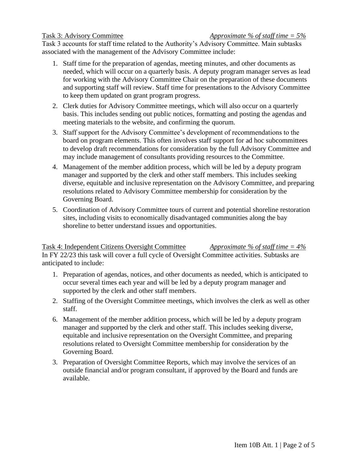Task 3 accounts for staff time related to the Authority's Advisory Committee. Main subtasks associated with the management of the Advisory Committee include:

- 1. Staff time for the preparation of agendas, meeting minutes, and other documents as needed, which will occur on a quarterly basis. A deputy program manager serves as lead for working with the Advisory Committee Chair on the preparation of these documents and supporting staff will review. Staff time for presentations to the Advisory Committee to keep them updated on grant program progress.
- 2. Clerk duties for Advisory Committee meetings, which will also occur on a quarterly basis. This includes sending out public notices, formatting and posting the agendas and meeting materials to the website, and confirming the quorum.
- 3. Staff support for the Advisory Committee's development of recommendations to the board on program elements. This often involves staff support for ad hoc subcommittees to develop draft recommendations for consideration by the full Advisory Committee and may include management of consultants providing resources to the Committee.
- 4. Management of the member addition process, which will be led by a deputy program manager and supported by the clerk and other staff members. This includes seeking diverse, equitable and inclusive representation on the Advisory Committee, and preparing resolutions related to Advisory Committee membership for consideration by the Governing Board.
- 5. Coordination of Advisory Committee tours of current and potential shoreline restoration sites, including visits to economically disadvantaged communities along the bay shoreline to better understand issues and opportunities.

# Task 4: Independent Citizens Oversight Committee *Approximate % of staff time = 4%*  In FY 22/23 this task will cover a full cycle of Oversight Committee activities. Subtasks are anticipated to include:

- 1. Preparation of agendas, notices, and other documents as needed, which is anticipated to occur several times each year and will be led by a deputy program manager and supported by the clerk and other staff members.
- 2. Staffing of the Oversight Committee meetings, which involves the clerk as well as other staff.
- 6. Management of the member addition process, which will be led by a deputy program manager and supported by the clerk and other staff. This includes seeking diverse, equitable and inclusive representation on the Oversight Committee, and preparing resolutions related to Oversight Committee membership for consideration by the Governing Board.
- 3. Preparation of Oversight Committee Reports, which may involve the services of an outside financial and/or program consultant, if approved by the Board and funds are available.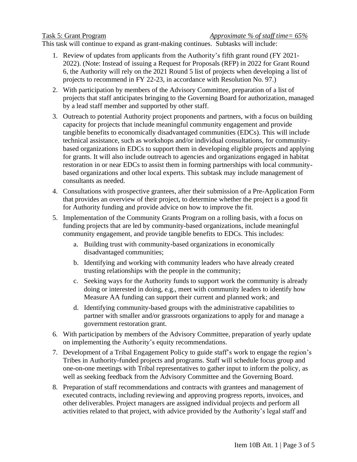This task will continue to expand as grant-making continues. Subtasks will include:

- 1. Review of updates from applicants from the Authority's fifth grant round (FY 2021- 2022). (Note: Instead of issuing a Request for Proposals (RFP) in 2022 for Grant Round 6, the Authority will rely on the 2021 Round 5 list of projects when developing a list of projects to recommend in FY 22-23, in accordance with [Resolution No. 97.](https://gcc02.safelinks.protection.outlook.com/?url=https%3A%2F%2Fr20.rs6.net%2Ftn.jsp%3Ff%3D001yv-_uVdDPi5SjQXhZGoXsIQiD9rZ95TxplZdvAgwkKqcPJns375Kmm4zeCnpVKkMuNJKI56CIGhKAmemP7sFK46IYf5ycfW_oN33A3RgjLKI9SrAGghrR4ME8-_7xiJ2iJepEB28CaMI2_J2-JLfPU0M2NjBWUVPhfU_V6E2nSt0gn2nzFjmdSP7gJh_Z34cF0gfeaGe6XloTPLhfTk6l5O1jKdbFdvR7p6zrc_8drhymiSVHLAgNSSGW93pDcdIKZ6McZ6sdvNYD-GAEyj_JEa_dZqOG8MjEjFoKCd4zZDfSztrEMcWFqwE3s5bm7IBoIx3y_7EWjjxKtSJfULXuuxfanz96jKcJYp53YbsNzgwX_8k5DrVmR7qcPxu65bU72Qdp3IX4dCYgxIhCxlVEbdLH3PNcqG2jK-i9RsSweQ%3D%26c%3D82YvGHbIH3BbdK9kKgdaiYBUOKZLv-GfUmTILnNYSyeLPGBWzD4pzQ%3D%3D%26ch%3DnD7oJKRPPDAtyKi_TBvI5PvAj1K78tqXAFk3tNMQqO25PdynPRQgcw%3D%3D&data=05%7C01%7Cjessica.davenport%40scc.ca.gov%7Cdb3dc3ca95c24a53dfd408da378d0f3e%7Cf14b3101b7c24955862f8895ad78a803%7C1%7C0%7C637883376231498015%7CUnknown%7CTWFpbGZsb3d8eyJWIjoiMC4wLjAwMDAiLCJQIjoiV2luMzIiLCJBTiI6Ik1haWwiLCJXVCI6Mn0%3D%7C3000%7C%7C%7C&sdata=eF5hF9Pn5yFkht%2F27x97BbmXDUK8uVVwkiAOmdMFD04%3D&reserved=0))
- 2. With participation by members of the Advisory Committee, preparation of a list of projects that staff anticipates bringing to the Governing Board for authorization, managed by a lead staff member and supported by other staff.
- 3. Outreach to potential Authority project proponents and partners, with a focus on building capacity for projects that include meaningful community engagement and provide tangible benefits to economically disadvantaged communities (EDCs). This will include technical assistance, such as workshops and/or individual consultations, for communitybased organizations in EDCs to support them in developing eligible projects and applying for grants. It will also include outreach to agencies and organizations engaged in habitat restoration in or near EDCs to assist them in forming partnerships with local communitybased organizations and other local experts. This subtask may include management of consultants as needed.
- 4. Consultations with prospective grantees, after their submission of a Pre-Application Form that provides an overview of their project, to determine whether the project is a good fit for Authority funding and provide advice on how to improve the fit.
- 5. Implementation of the Community Grants Program on a rolling basis, with a focus on funding projects that are led by community-based organizations, include meaningful community engagement, and provide tangible benefits to EDCs. This includes:
	- a. Building trust with community-based organizations in economically disadvantaged communities;
	- b. Identifying and working with community leaders who have already created trusting relationships with the people in the community;
	- c. Seeking ways for the Authority funds to support work the community is already doing or interested in doing, e.g., meet with community leaders to identify how Measure AA funding can support their current and planned work; and
	- d. Identifying community-based groups with the administrative capabilities to partner with smaller and/or grassroots organizations to apply for and manage a government restoration grant.
- 6. With participation by members of the Advisory Committee, preparation of yearly update on implementing the Authority's equity recommendations.
- 7. Development of a Tribal Engagement Policy to guide staff's work to engage the region's Tribes in Authority-funded projects and programs. Staff will schedule focus group and one-on-one meetings with Tribal representatives to gather input to inform the policy, as well as seeking feedback from the Advisory Committee and the Governing Board.
- 8. Preparation of staff recommendations and contracts with grantees and management of executed contracts, including reviewing and approving progress reports, invoices, and other deliverables. Project managers are assigned individual projects and perform all activities related to that project, with advice provided by the Authority's legal staff and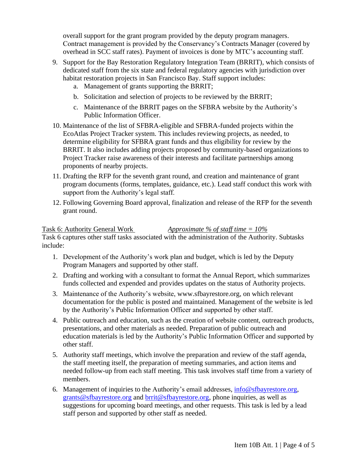overall support for the grant program provided by the deputy program managers. Contract management is provided by the Conservancy's Contracts Manager (covered by overhead in SCC staff rates). Payment of invoices is done by MTC's accounting staff.

- 9. Support for the Bay Restoration Regulatory Integration Team (BRRIT), which consists of dedicated staff from the six state and federal regulatory agencies with jurisdiction over habitat restoration projects in San Francisco Bay. Staff support includes:
	- a. Management of grants supporting the BRRIT;
	- b. Solicitation and selection of projects to be reviewed by the BRRIT;
	- c. Maintenance of the BRRIT pages on the SFBRA website by the Authority's Public Information Officer.
- 10. Maintenance of the list of SFBRA-eligible and SFBRA-funded projects within the EcoAtlas Project Tracker system. This includes reviewing projects, as needed, to determine eligibility for SFBRA grant funds and thus eligibility for review by the BRRIT. It also includes adding projects proposed by community-based organizations to Project Tracker raise awareness of their interests and facilitate partnerships among proponents of nearby projects.
- 11. Drafting the RFP for the seventh grant round, and creation and maintenance of grant program documents (forms, templates, guidance, etc.). Lead staff conduct this work with support from the Authority's legal staff.
- 12. Following Governing Board approval, finalization and release of the RFP for the seventh grant round.

### Task 6: Authority General Work *Approximate % of staff time = 10%*

Task 6 captures other staff tasks associated with the administration of the Authority. Subtasks include:

- 1. Development of the Authority's work plan and budget, which is led by the Deputy Program Managers and supported by other staff.
- 2. Drafting and working with a consultant to format the Annual Report, which summarizes funds collected and expended and provides updates on the status of Authority projects.
- 3. Maintenance of the Authority's website, www.sfbayrestore.org, on which relevant documentation for the public is posted and maintained. Management of the website is led by the Authority's Public Information Officer and supported by other staff.
- 4. Public outreach and education, such as the creation of website content, outreach products, presentations, and other materials as needed. Preparation of public outreach and education materials is led by the Authority's Public Information Officer and supported by other staff.
- 5. Authority staff meetings, which involve the preparation and review of the staff agenda, the staff meeting itself, the preparation of meeting summaries, and action items and needed follow-up from each staff meeting. This task involves staff time from a variety of members.
- 6. Management of inquiries to the Authority's email addresses, [info@sfbayrestore.org,](mailto:info@sfbayrestore.org) [grants@sfbayrestore.org](mailto:grants@sfbayrestore.org) and [brrit@sfbayrestore.org,](mailto:brrit@sfbayrestore.org) phone inquiries, as well as suggestions for upcoming board meetings, and other requests. This task is led by a lead staff person and supported by other staff as needed.